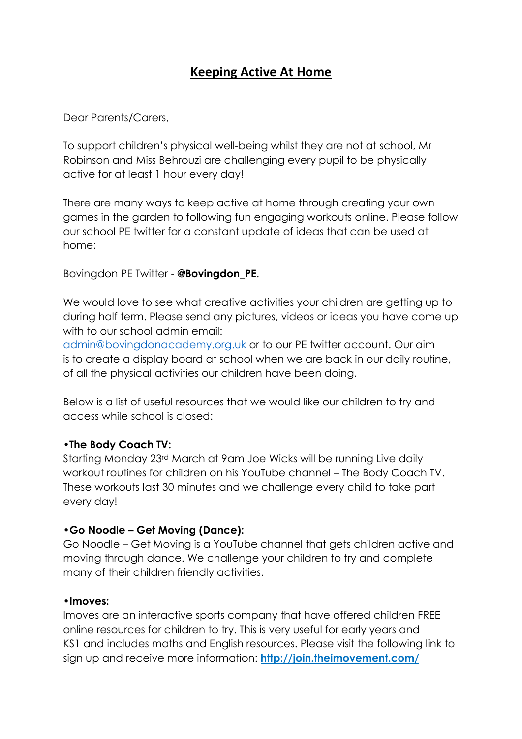# **Keeping Active At Home**

Dear Parents/Carers,

To support children's physical well-being whilst they are not at school, Mr Robinson and Miss Behrouzi are challenging every pupil to be physically active for at least 1 hour every day!

There are many ways to keep active at home through creating your own games in the garden to following fun engaging workouts online. Please follow our school PE twitter for a constant update of ideas that can be used at home:

Bovingdon PE Twitter - **@Bovingdon\_PE**.

We would love to see what creative activities your children are getting up to during half term. Please send any pictures, videos or ideas you have come up with to our school admin email:

[admin@bovingdonacademy.org.uk](mailto:admin@bovingdonacademy.org.uk) or to our PE twitter account. Our aim is to create a display board at school when we are back in our daily routine, of all the physical activities our children have been doing.

Below is a list of useful resources that we would like our children to try and access while school is closed:

### **•The Body Coach TV:**

Starting Monday 23rd March at 9am Joe Wicks will be running Live daily workout routines for children on his YouTube channel – The Body Coach TV. These workouts last 30 minutes and we challenge every child to take part every day!

### **•Go Noodle – Get Moving (Dance):**

Go Noodle – Get Moving is a YouTube channel that gets children active and moving through dance. We challenge your children to try and complete many of their children friendly activities.

#### **•Imoves:**

Imoves are an interactive sports company that have offered children FREE online resources for children to try. This is very useful for early years and KS1 and includes maths and English resources. Please visit the following link to sign up and receive more information: **[http://join.theimovement.com/](https://email.evoluted.net/t/r-l-jhdjkitd-kuaiduulk-y/)**